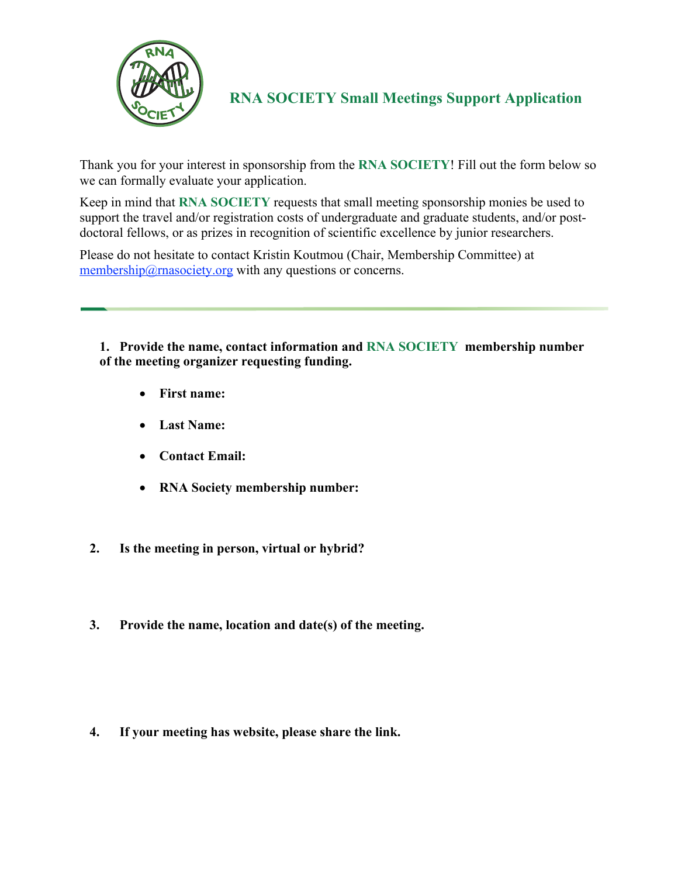

**RNA SOCIETY Small Meetings Support Application**

Thank you for your interest in sponsorship from the **RNA SOCIETY**! Fill out the form below so we can formally evaluate your application.

Keep in mind that **RNA SOCIETY** requests that small meeting sponsorship monies be used to support the travel and/or registration costs of undergraduate and graduate students, and/or postdoctoral fellows, or as prizes in recognition of scientific excellence by junior researchers.

Please do not hesitate to contact Kristin Koutmou (Chair, Membership Committee) at  $m$ embership@rnasociety.org with any questions or concerns.

**1. Provide the name, contact information and RNA SOCIETY membership number of the meeting organizer requesting funding.**

- **First name:**
- **Last Name:**
- **Contact Email:**
- **RNA Society membership number:**
- **2. Is the meeting in person, virtual or hybrid?**
- **3. Provide the name, location and date(s) of the meeting.**

**4. If your meeting has website, please share the link.**